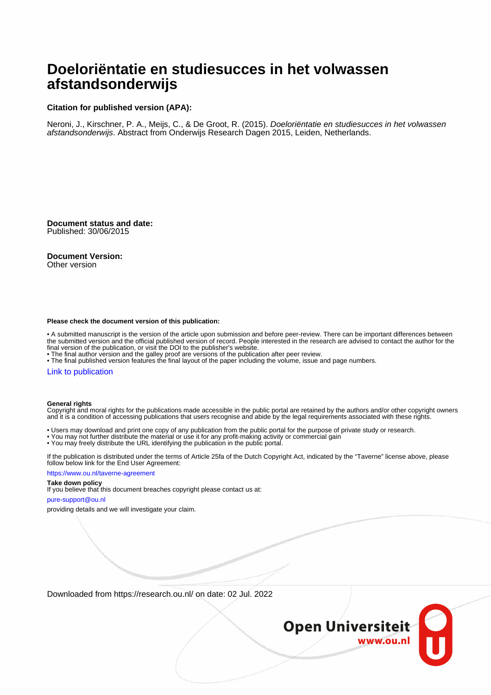# **Doeloriëntatie en studiesucces in het volwassen afstandsonderwijs**

## **Citation for published version (APA):**

Neroni, J., Kirschner, P. A., Meijs, C., & De Groot, R. (2015). Doeloriëntatie en studiesucces in het volwassen afstandsonderwijs. Abstract from Onderwijs Research Dagen 2015, Leiden, Netherlands.

**Document status and date:** Published: 30/06/2015

**Document Version:**

Other version

#### **Please check the document version of this publication:**

• A submitted manuscript is the version of the article upon submission and before peer-review. There can be important differences between the submitted version and the official published version of record. People interested in the research are advised to contact the author for the final version of the publication, or visit the DOI to the publisher's website.

• The final author version and the galley proof are versions of the publication after peer review.

• The final published version features the final layout of the paper including the volume, issue and page numbers.

#### [Link to publication](https://research.ou.nl/en/publications/196aea57-203a-449e-a3da-3ef4faf16e9d)

#### **General rights**

Copyright and moral rights for the publications made accessible in the public portal are retained by the authors and/or other copyright owners and it is a condition of accessing publications that users recognise and abide by the legal requirements associated with these rights.

- Users may download and print one copy of any publication from the public portal for the purpose of private study or research.
- You may not further distribute the material or use it for any profit-making activity or commercial gain
- You may freely distribute the URL identifying the publication in the public portal.

If the publication is distributed under the terms of Article 25fa of the Dutch Copyright Act, indicated by the "Taverne" license above, please follow below link for the End User Agreement:

#### https://www.ou.nl/taverne-agreement

### **Take down policy**

If you believe that this document breaches copyright please contact us at:

#### pure-support@ou.nl

providing details and we will investigate your claim.

Downloaded from https://research.ou.nl/ on date: 02 Jul. 2022